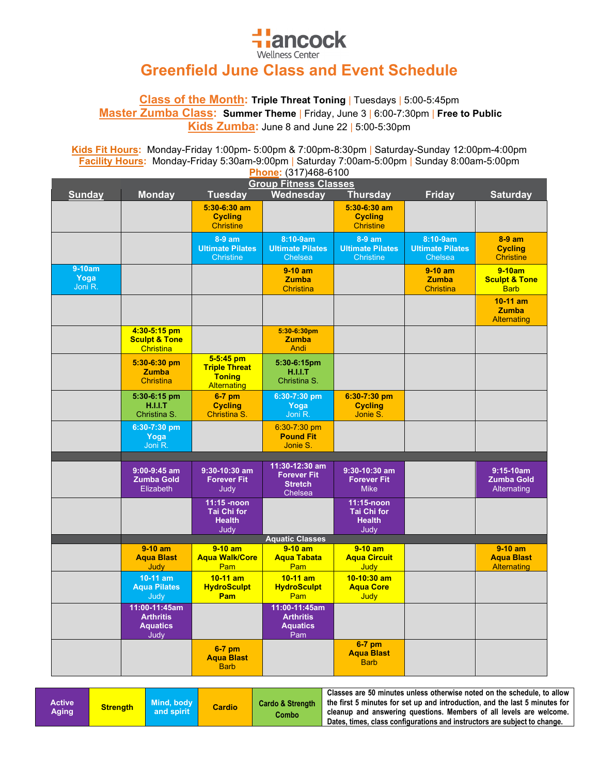

## **Greenfield June Class and Event Schedule**

**Class of the Month: Triple Threat Toning** | Tuesdays | 5:00-5:45pm **Master Zumba Class: Summer Theme** | Friday, June 3 | 6:00-7:30pm | **Free to Public Kids Zumba:** June 8 and June 22 | 5:00-5:30pm

**Kids Fit Hours:** Monday-Friday 1:00pm- 5:00pm & 7:00pm-8:30pm | Saturday-Sunday 12:00pm-4:00pm **Facility Hours:** Monday-Friday 5:30am-9:00pm | Saturday 7:00am-5:00pm | Sunday 8:00am-5:00pm **Phone:** (317)468-6100

| , <del>, , , , , , , , , , , ,</del><br><b>Group Fitness Classes</b> |                                                              |                                                                            |                                                                          |                                                           |                                                |                                                      |
|----------------------------------------------------------------------|--------------------------------------------------------------|----------------------------------------------------------------------------|--------------------------------------------------------------------------|-----------------------------------------------------------|------------------------------------------------|------------------------------------------------------|
| <b>Sunday</b>                                                        | <b>Monday</b>                                                | <b>Tuesday</b>                                                             | Wednesday                                                                | <b>Thursday</b>                                           | <b>Friday</b>                                  | <b>Saturday</b>                                      |
|                                                                      |                                                              | $5:30-6:30$ am<br><b>Cycling</b><br><b>Christine</b>                       |                                                                          | $5:30-6:30$ am<br><b>Cycling</b><br><b>Christine</b>      |                                                |                                                      |
|                                                                      |                                                              | 8-9 am<br><b>Ultimate Pilates</b><br>Christine                             | 8:10-9am<br><b>Ultimate Pilates</b><br>Chelsea                           | 8-9 am<br><b>Ultimate Pilates</b><br><b>Christine</b>     | 8:10-9am<br><b>Ultimate Pilates</b><br>Chelsea | $8-9$ am<br><b>Cycling</b><br><b>Christine</b>       |
| 9-10am<br>Yoga<br>Joni R.                                            |                                                              |                                                                            | $9-10$ am<br><b>Zumba</b><br><b>Christina</b>                            |                                                           | $9-10$ am<br><b>Zumba</b><br><b>Christina</b>  | $9-10am$<br><b>Sculpt &amp; Tone</b><br><b>Barb</b>  |
|                                                                      |                                                              |                                                                            |                                                                          |                                                           |                                                | $10-11$ am<br><b>Zumba</b><br><b>Alternating</b>     |
|                                                                      | 4:30-5:15 pm<br><b>Sculpt &amp; Tone</b><br>Christina        |                                                                            | 5:30-6:30pm<br><b>Zumba</b><br>Andi                                      |                                                           |                                                |                                                      |
|                                                                      | 5:30-6:30 pm<br><b>Zumba</b><br><b>Christina</b>             | $5-5:45$ pm<br><b>Triple Threat</b><br><b>Toning</b><br><b>Alternating</b> | 5:30-6:15pm<br><b>H.I.I.T</b><br>Christina S.                            |                                                           |                                                |                                                      |
|                                                                      | 5:30-6:15 pm<br>H.I.I.T<br>Christina S.                      | $6-7$ pm<br><b>Cycling</b><br><b>Christina S.</b>                          | 6:30-7:30 pm<br>Yoga<br>Joni R.                                          | $6:30-7:30$ pm<br><b>Cycling</b><br>Jonie S.              |                                                |                                                      |
|                                                                      | 6:30-7:30 pm<br>Yoga<br>Joni R.                              |                                                                            | 6:30-7:30 pm<br><b>Pound Fit</b><br>Jonie S.                             |                                                           |                                                |                                                      |
|                                                                      |                                                              |                                                                            |                                                                          |                                                           |                                                |                                                      |
|                                                                      | $9:00-9:45$ am<br><b>Zumba Gold</b><br>Elizabeth             | $9:30-10:30$ am<br><b>Forever Fit</b><br>Judy                              | 11:30-12:30 am<br><b>Forever Fit</b><br><b>Stretch</b><br><b>Chelsea</b> | 9:30-10:30 am<br><b>Forever Fit</b><br><b>Mike</b>        |                                                | $9:15-10am$<br><b>Zumba Gold</b><br>Alternating      |
|                                                                      |                                                              | $11:15 - n$ oon<br><b>Tai Chi for</b><br><b>Health</b><br>Judy             |                                                                          | 11:15-noon<br><b>Tai Chi for</b><br><b>Health</b><br>Judy |                                                |                                                      |
|                                                                      |                                                              |                                                                            | <b>Aquatic Classes</b>                                                   |                                                           |                                                |                                                      |
|                                                                      | $9-10$ am<br><b>Aqua Blast</b><br>Judy                       | $9-10$ am<br><b>Agua Walk/Core</b><br>Pam                                  | $9-10$ am<br><b>Agua Tabata</b><br>Pam                                   | $9-10$ am<br><b>Agua Circuit</b><br>Judy                  |                                                | $9-10$ am<br><b>Agua Blast</b><br><b>Alternating</b> |
|                                                                      | $10-11$ am<br><b>Aqua Pilates</b><br>Judy                    | $10-11$ am<br><b>HydroSculpt</b><br><b>Pam</b>                             | $10-11$ am<br><b>HydroSculpt</b><br>Pam                                  | $10-10:30$ am<br><b>Aqua Core</b><br>Judy                 |                                                |                                                      |
|                                                                      | 11:00-11:45am<br><b>Arthritis</b><br><b>Aquatics</b><br>Judy |                                                                            | 11:00-11:45am<br><b>Arthritis</b><br><b>Aquatics</b><br>Pam              |                                                           |                                                |                                                      |
|                                                                      |                                                              | $6-7$ pm<br><b>Aqua Blast</b><br><b>Barb</b>                               |                                                                          | $6-7$ pm<br><b>Agua Blast</b><br><b>Barb</b>              |                                                |                                                      |

| Active<br>Aging | <b>Strength</b> | Mind, body<br>and spirit | <b>Cardio</b> | <b>Cardo &amp; Strength</b><br>Combo | Classes are 50 minutes unless otherwise noted on the schedule, to allow 1<br>the first 5 minutes for set up and introduction, and the last 5 minutes for<br>cleanup and answering questions. Members of all levels are welcome.<br>Dates, times, class configurations and instructors are subject to change. |
|-----------------|-----------------|--------------------------|---------------|--------------------------------------|--------------------------------------------------------------------------------------------------------------------------------------------------------------------------------------------------------------------------------------------------------------------------------------------------------------|
|-----------------|-----------------|--------------------------|---------------|--------------------------------------|--------------------------------------------------------------------------------------------------------------------------------------------------------------------------------------------------------------------------------------------------------------------------------------------------------------|